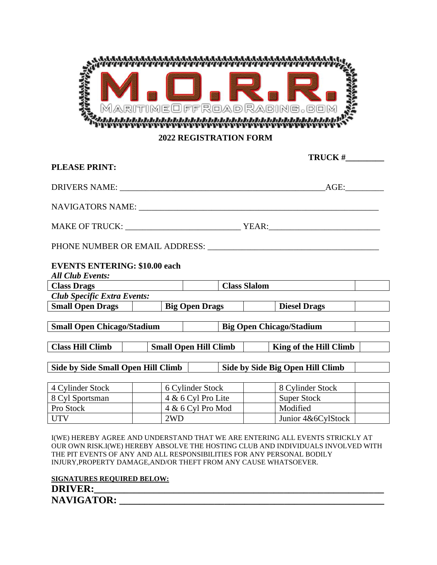

**2022 REGISTRATION FORM**

|                                                                        |     | TRUCK #             |  |                     |  |  |
|------------------------------------------------------------------------|-----|---------------------|--|---------------------|--|--|
| <b>PLEASE PRINT:</b>                                                   |     |                     |  |                     |  |  |
| $\overline{\text{AGE:}}$                                               |     |                     |  |                     |  |  |
|                                                                        |     |                     |  |                     |  |  |
|                                                                        |     |                     |  |                     |  |  |
|                                                                        |     |                     |  |                     |  |  |
| <b>EVENTS ENTERING: \$10.00 each</b>                                   |     |                     |  |                     |  |  |
| <b>All Club Events:</b>                                                |     |                     |  |                     |  |  |
| <b>Class Drags</b>                                                     |     | <b>Class Slalom</b> |  |                     |  |  |
| <b>Club Specific Extra Events:</b>                                     |     |                     |  |                     |  |  |
| Small Open Drags                                                       |     | Big Open Drags      |  | <b>Diesel Drags</b> |  |  |
|                                                                        |     |                     |  |                     |  |  |
| <b>Small Open Chicago/Stadium</b><br><b>Big Open Chicago/Stadium</b>   |     |                     |  |                     |  |  |
|                                                                        |     |                     |  |                     |  |  |
| Class Hill Climb Small Open Hill Climb   King of the Hill Climb        |     |                     |  |                     |  |  |
|                                                                        |     |                     |  |                     |  |  |
| Side by Side Small Open Hill Climb<br>Side by Side Big Open Hill Climb |     |                     |  |                     |  |  |
|                                                                        |     |                     |  |                     |  |  |
| 4 Cylinder Stock                                                       |     | 6 Cylinder Stock    |  | 8 Cylinder Stock    |  |  |
| 8 Cyl Sportsman                                                        |     | 4 & 6 Cyl Pro Lite  |  | <b>Super Stock</b>  |  |  |
| Pro Stock                                                              |     | 4 & 6 Cyl Pro Mod   |  | Modified            |  |  |
| <b>UTV</b>                                                             | 2WD |                     |  | Junior 4&6CylStock  |  |  |

I(WE) HEREBY AGREE AND UNDERSTAND THAT WE ARE ENTERING ALL EVENTS STRICKLY AT OUR OWN RISK.I(WE) HEREBY ABSOLVE THE HOSTING CLUB AND INDIVIDUALS INVOLVED WITH THE PIT EVENTS OF ANY AND ALL RESPONSIBILITIES FOR ANY PERSONAL BODILY INJURY,PROPERTY DAMAGE,AND/OR THEFT FROM ANY CAUSE WHATSOEVER.

| <b>SIGNATURES REQUIRED BELOW:</b> |  |
|-----------------------------------|--|
| <b>DRIVER:</b>                    |  |
| <b>NAVIGATOR:</b>                 |  |